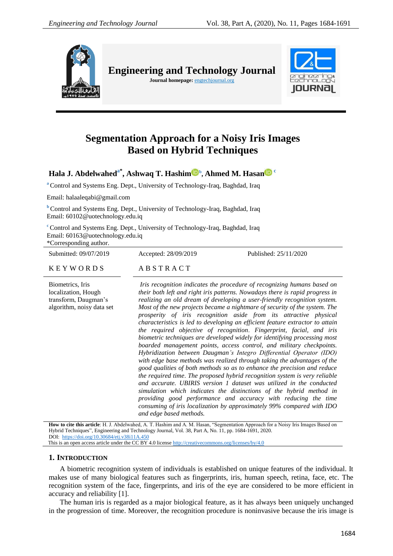

**Engineering and Technology Journal Journal homepage:** engtechjournal.org



# **Segmentation Approach for a Noisy Iris Images Based on Hybrid Techniques**

**Hala J. Abdelwaheda\* , Ashwaq T. Hashim <sup>b</sup> , Ahmed M. Hasan <sup>c</sup>**

**<sup>a</sup>** Control and Systems Eng. Dept., University of Technology-Iraq, Baghdad, Iraq

Email: halaaleqabi@gmail.com

**b** Control and Systems Eng. Dept., University of Technology-Iraq, Baghdad, Iraq Email: 60102@uotechnology.edu.iq

**<sup>c</sup>** Control and Systems Eng. Dept., University of Technology-Iraq, Baghdad, Iraq Email: 60163@uotechnology.edu.iq

\*Corresponding author.

Submitted: 09/07/2019 Accepted: 28/09/2019 Published: 25/11/2020

K E Y W O R D S A B S T R A C T

Biometrics, Iris localization, Hough transform, Daugman"s algorithm, noisy data set

*Iris recognition indicates the procedure of recognizing humans based on their both left and right iris patterns. Nowadays there is rapid progress in realizing an old dream of developing a user-friendly recognition system. Most of the new projects became a nightmare of security of the system. The prosperity of iris recognition aside from its attractive physical characteristics is led to developing an efficient feature extractor to attain the required objective of recognition*. *Fingerprint, facial, and iris biometric techniques are developed widely for identifying processing most boarded management points, access control, and military checkpoints. Hybridization between Daugman's Integro Differential Operator (IDO) with edge base methods was realized through taking the advantages of the good qualities of both methods so as to enhance the precision and reduce the required time*. *The proposed hybrid recognition system is very reliable and accurate. UBIRIS version 1 dataset was utilized in the conducted simulation which indicates the distinctions of the hybrid method in providing good performance and accuracy with reducing the time consuming of iris localization by approximately 99% compared with IDO and edge based methods.*

**How to cite this article**: H. J. Abdelwahed, A. T. Hashim and A. M. Hasan, "Segmentation Approach for a Noisy Iris Images Based on Hybrid Techniques", Engineering and Technology Journal, Vol. 38, Part A, No. 11, pp. 1684-1691, 2020. DOI:<https://doi.org/10.30684/etj.v38i11A.450> This is an open access article under the CC BY 4.0 license<http://creativecommons.org/licenses/by/4.0>

# **1. INTRODUCTION**

A biometric recognition system of individuals is established on unique features of the individual. It makes use of many biological features such as fingerprints, iris, human speech, retina, face, etc. The recognition system of the face, fingerprints, and iris of the eye are considered to be more efficient in accuracy and reliability [1].

The human iris is regarded as a major biological feature, as it has always been uniquely unchanged in the progression of time. Moreover, the recognition procedure is noninvasive because the iris image is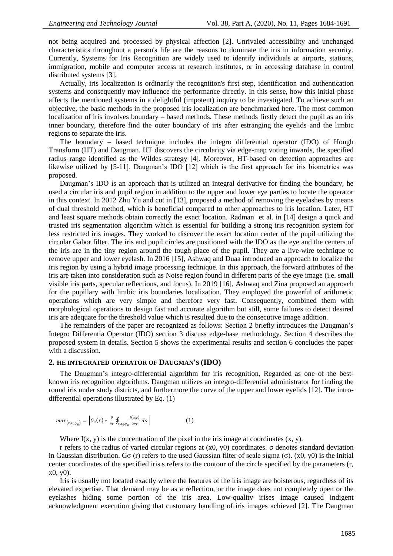not being acquired and processed by physical affection [2]. Unrivaled accessibility and unchanged characteristics throughout a person's life are the reasons to dominate the iris in information security. Currently, Systems for Iris Recognition are widely used to identify individuals at airports, stations, immigration, mobile and computer access at research institutes, or in accessing database in control distributed systems [3].

Actually, iris localization is ordinarily the recognition's first step, identification and authentication systems and consequently may influence the performance directly. In this sense, how this initial phase affects the mentioned systems in a delightful (impotent) inquiry to be investigated. To achieve such an objective, the basic methods in the proposed iris localization are benchmarked here. The most common localization of iris involves boundary – based methods. These methods firstly detect the pupil as an iris inner boundary, therefore find the outer boundary of iris after estranging the eyelids and the limbic regions to separate the iris.

The boundary – based technique includes the integro differential operator (IDO) of Hough Transform (HT) and Daugman. HT discovers the circularity via edge-map voting inwards, the specified radius range identified as the Wildes strategy [4]. Moreover, HT-based on detection approaches are likewise utilized by [5-11]. Daugman's IDO [12] which is the first approach for iris biometrics was proposed.

Daugman's IDO is an approach that is utilized an integral derivative for finding the boundary, he used a circular iris and pupil region in addition to the upper and lower eye parties to locate the operator in this context. In 2012 Zhu Yu and cut in [13], proposed a method of removing the eyelashes by means of dual threshold method, which is beneficial compared to other approaches to iris location. Later, HT and least square methods obtain correctly the exact location. Radman et al. in [14] design a quick and trusted iris segmentation algorithm which is essential for building a strong iris recognition system for less restricted iris images. They worked to discover the exact location center of the pupil utilizing the circular Gabor filter. The iris and pupil circles are positioned with the IDO as the eye and the centers of the iris are in the tiny region around the tough place of the pupil. They are a live-wire technique to remove upper and lower eyelash. In 2016 [15], Ashwaq and Duaa introduced an approach to localize the iris region by using a hybrid image processing technique. In this approach, the forward attributes of the iris are taken into consideration such as Noise region found in different parts of the eye image (i.e. small visible iris parts, specular reflections, and focus). In 2019 [16], Ashwaq and Zina proposed an approach for the pupillary with limbic iris boundaries localization. They employed the powerful of arithmetic operations which are very simple and therefore very fast. Consequently, combined them with morphological operations to design fast and accurate algorithm but still, some failures to detect desired iris are adequate for the threshold value which is resulted due to the consecutive image addition.

The remainders of the paper are recognized as follows: Section 2 briefly introduces the Daugman"s Integro Differentia Operator (IDO) section 3 discuss edge-base methodology. Section 4 describes the proposed system in details. Section 5 shows the experimental results and section 6 concludes the paper with a discussion.

#### **2. HE INTEGRATED OPERATOR OF DAUGMAN'S (IDO)**

The Daugman"s integro-differential algorithm for iris recognition, Regarded as one of the bestknown iris recognition algorithms. Daugman utilizes an integro-differential administrator for finding the round iris under study districts, and furthermore the curve of the upper and lower eyelids [12]. The introdifferential operations illustrated by Eq. (1)

$$
max_{(r,x_0,y_0)} = \left| G_{\sigma}(r) * \frac{\partial}{\partial r} \oint_{r,x_0,y_0} \frac{l(x,y)}{2\pi r} ds \right| \tag{1}
$$

Where  $I(x, y)$  is the concentration of the pixel in the iris image at coordinates  $(x, y)$ .

r refers to the radius of varied circular regions at (x0, y0) coordinates. σ denotes standard deviation in Gaussian distribution. Gσ (r) refers to the used Gaussian filter of scale sigma (σ). (x0, y0) is the initial center coordinates of the specified iris.s refers to the contour of the circle specified by the parameters (r, x0, y0).

Iris is usually not located exactly where the features of the iris image are boisterous, regardless of its elevated expertise. That demand may be as a reflection, or the image does not completely open or the eyelashes hiding some portion of the iris area. Low-quality irises image caused indigent acknowledgment execution giving that customary handling of iris images achieved [2]. The Daugman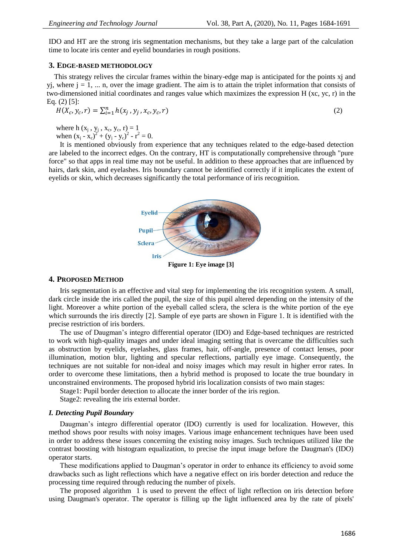IDO and HT are the strong iris segmentation mechanisms, but they take a large part of the calculation time to locate iris center and eyelid boundaries in rough positions.

### **3. EDGE-BASED METHODOLOGY**

 This strategy relives the circular frames within the binary-edge map is anticipated for the points xj and yj, where  $j = 1, \ldots n$ , over the image gradient. The aim is to attain the triplet information that consists of two-dimensioned initial coordinates and ranges value which maximizes the expression H (xc, yc, r) in the Eq. (2) [5]:

$$
H(X_c, y_c, r) = \sum_{i=1}^{n} h(x_j, y_j, x_c, y_c, r)
$$
\n(2)

where h  $(x_j, y_j, x_c, y_c, r) = 1$ when  $(x_i - x_c)^2 + (y_i - y_c)^2 - r^2 = 0$ .

It is mentioned obviously from experience that any techniques related to the edge-based detection are labeled to the incorrect edges. On the contrary, HT is computationally comprehensive through "pure force" so that apps in real time may not be useful. In addition to these approaches that are influenced by hairs, dark skin, and eyelashes. Iris boundary cannot be identified correctly if it implicates the extent of eyelids or skin, which decreases significantly the total performance of iris recognition.



**Figure 1: Eye image [3]**

## **4. PROPOSED METHOD**

Iris segmentation is an effective and vital step for implementing the iris recognition system. A small, dark circle inside the iris called the pupil, the size of this pupil altered depending on the intensity of the light. Moreover a white portion of the eyeball called sclera, the sclera is the white portion of the eye which surrounds the iris directly [2]. Sample of eye parts are shown in Figure 1. It is identified with the precise restriction of iris borders.

The use of Daugman"s integro differential operator (IDO) and Edge-based techniques are restricted to work with high-quality images and under ideal imaging setting that is overcame the difficulties such as obstruction by eyelids, eyelashes, glass frames, hair, off-angle, presence of contact lenses, poor illumination, motion blur, lighting and specular reflections, partially eye image. Consequently, the techniques are not suitable for non-ideal and noisy images which may result in higher error rates. In order to overcome these limitations, then a hybrid method is proposed to locate the true boundary in unconstrained environments. The proposed hybrid iris localization consists of two main stages:

Stage1: Pupil border detection to allocate the inner border of the iris region.

Stage2: revealing the iris external border.

#### *I. Detecting Pupil Boundary*

Daugman's integro differential operator (IDO) currently is used for localization. However, this method shows poor results with noisy images. Various image enhancement techniques have been used in order to address these issues concerning the existing noisy images. Such techniques utilized like the contrast boosting with histogram equalization, to precise the input image before the Daugman's (IDO) operator starts.

These modifications applied to Daugman's operator in order to enhance its efficiency to avoid some drawbacks such as light reflections which have a negative effect on iris border detection and reduce the processing time required through reducing the number of pixels.

The proposed algorithm 1 is used to prevent the effect of light reflection on iris detection before using Daugman's operator. The operator is filling up the light influenced area by the rate of pixels'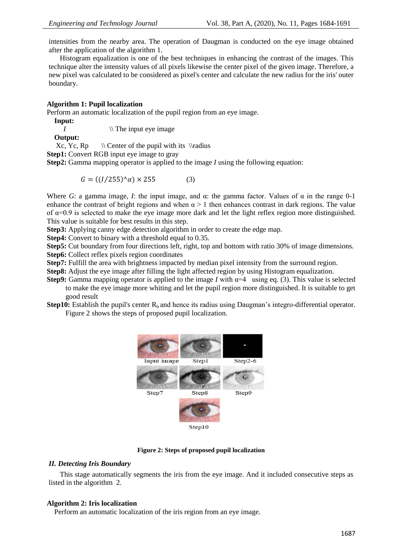intensities from the nearby area. The operation of Daugman is conducted on the eye image obtained after the application of the algorithm 1.

Histogram equalization is one of the best techniques in enhancing the contrast of the images. This technique alter the intensity values of all pixels likewise the center pixel of the given image. Therefore, a new pixel was calculated to be considered as pixel's center and calculate the new radius for the iris' outer boundary.

# **Algorithm 1: Pupil localization**

Perform an automatic localization of the pupil region from an eye image.

**Input:**

*I*  $\|\$  The input eye image

**Output:**<br>Xc, Yc, Rp  $\setminus$  Center of the pupil with its  $\langle$ 

**Step1:** Convert RGB input eye image to gray

**Step2:** Gamma mapping operator is applied to the image *I* using the following equation:

$$
G = ((1/255)^{2}\alpha) \times 255 \tag{3}
$$

Where *G*: a gamma image, *I*: the input image, and  $\alpha$ : the gamma factor. Values of  $\alpha$  in the range 0-1 enhance the contrast of bright regions and when  $\alpha > 1$  then enhances contrast in dark regions. The value of  $α=0.9$  is selected to make the eye image more dark and let the light reflex region more distinguished. This value is suitable for best results in this step.

**Step3:** Applying canny edge detection algorithm in order to create the edge map.

**Step4:** Convert to binary with a threshold equal to 0.35.

**Step5:** Cut boundary from four directions left, right, top and bottom with ratio 30% of image dimensions. **Step6:** Collect reflex pixels region coordinates

**Step7:** Fulfill the area with brightness impacted by median pixel intensity from the surround region.

**Step8:** Adjust the eye image after filling the light affected region by using Histogram equalization.

- **Step9:** Gamma mapping operator is applied to the image *I* with  $\alpha=4$  using eq. (3). This value is selected to make the eye image more whiting and let the pupil region more distinguished. It is suitable to get good result
- **Step10:** Establish the pupil's center  $R<sub>b</sub>$  and hence its radius using Daugman's integro-differential operator. Figure 2 shows the steps of proposed pupil localization.





# *II. Detecting Iris Boundary*

This stage automatically segments the iris from the eye image. And it included consecutive steps as listed in the algorithm 2.

# **Algorithm 2: Iris localization**

Perform an automatic localization of the iris region from an eye image.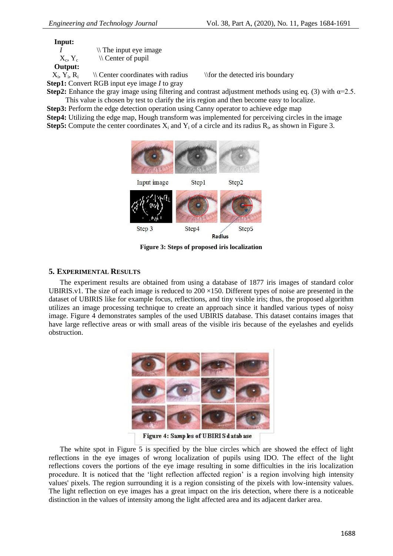**Input:**

*I*  $\wedge$  The input eye image  $X_c, Y_c$  $\setminus \mathcal{C}$  Center of pupil

**Output:** 

 $X_i$ ,  $Y_i$ ,  $R_i$  $\backslash\$  Center coordinates with radius  $\backslash\$  for the detected iris boundary **Step1:** Convert RGB input eye image *I* to gray

**Step2:** Enhance the gray image using filtering and contrast adjustment methods using eq. (3) with  $\alpha=2.5$ . This value is chosen by test to clarify the iris region and then become easy to localize.

**Step3:** Perform the edge detection operation using Canny operator to achieve edge map **Step4:** Utilizing the edge map, Hough transform was implemented for perceiving circles in the image **Step5:** Compute the center coordinates  $X_i$  and  $Y_i$  of a circle and its radius  $R_i$ , as shown in Figure 3.



**Figure 3: Steps of proposed iris localization**

# **5. EXPERIMENTAL RESULTS**

The experiment results are obtained from using a database of 1877 iris images of standard color UBIRIS.v1. The size of each image is reduced to  $200 \times 150$ . Different types of noise are presented in the dataset of UBIRIS like for example focus, reflections, and tiny visible iris; thus, the proposed algorithm utilizes an image processing technique to create an approach since it handled various types of noisy image. Figure 4 demonstrates samples of the used UBIRIS database. This dataset contains images that have large reflective areas or with small areas of the visible iris because of the eyelashes and eyelids obstruction.



Figure 4: Samp les of UBIRIS database

The white spot in Figure 5 is specified by the blue circles which are showed the effect of light reflections in the eye images of wrong localization of pupils using IDO. The effect of the light reflections covers the portions of the eye image resulting in some difficulties in the iris localization procedure. It is noticed that the 'light reflection affected region' is a region involving high intensity values' pixels. The region surrounding it is a region consisting of the pixels with low-intensity values. The light reflection on eye images has a great impact on the iris detection, where there is a noticeable distinction in the values of intensity among the light affected area and its adjacent darker area.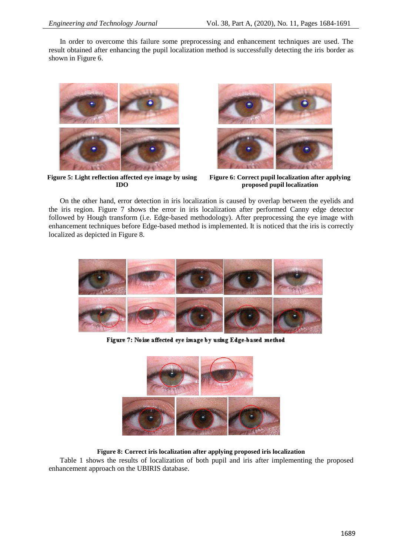In order to overcome this failure some preprocessing and enhancement techniques are used. The result obtained after enhancing the pupil localization method is successfully detecting the iris border as shown in Figure 6.



**Figure 5: Light reflection affected eye image by using IDO**



**Figure 6: Correct pupil localization after applying proposed pupil localization**

On the other hand, error detection in iris localization is caused by overlap between the eyelids and the iris region. Figure 7 shows the error in iris localization after performed Canny edge detector followed by Hough transform (i.e. Edge-based methodology). After preprocessing the eye image with enhancement techniques before Edge-based method is implemented. It is noticed that the iris is correctly localized as depicted in Figure 8.



Figure 7: Noise affected eye image by using Edge-based method



### **Figure 8: Correct iris localization after applying proposed iris localization**

Table 1 shows the results of localization of both pupil and iris after implementing the proposed enhancement approach on the UBIRIS database.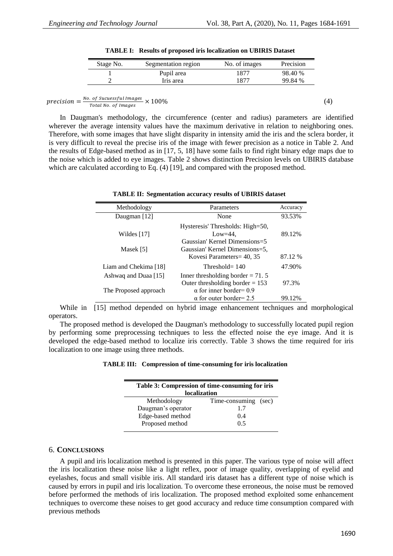| Stage No. | Segmentation region | No. of images | Precision |
|-----------|---------------------|---------------|-----------|
|           | Pupil area          | 1877          | 98.40 %   |
|           | Iris area           | 1877          | 99.84 %   |

precision  $=\frac{N}{\cdot}$  $\frac{10}{100}$  Sucuess) at images  $\times$  100% (4) (4)

In Daugman's methodology, the circumference (center and radius) parameters are identified wherever the average intensity values have the maximum derivative in relation to neighboring ones. Therefore, with some images that have slight disparity in intensity amid the iris and the sclera border, it is very difficult to reveal the precise iris of the image with fewer precision as a notice in Table 2. And the results of Edge-based method as in [17, 5, 18] have some fails to find right binary edge maps due to the noise which is added to eye images. Table 2 shows distinction Precision levels on UBIRIS database which are calculated according to Eq. (4) [19], and compared with the proposed method.

|  | <b>TABLE II: Segmentation accuracy results of UBIRIS dataset</b> |  |  |  |  |
|--|------------------------------------------------------------------|--|--|--|--|
|--|------------------------------------------------------------------|--|--|--|--|

| Methodology           | Parameters                                                                                    | Accuracy |
|-----------------------|-----------------------------------------------------------------------------------------------|----------|
| Daugman [12]          | None                                                                                          | 93.53%   |
| Wildes $[17]$         | Hysteresis' Thresholds: High=50,<br>$Low=44$ .                                                | 89.12%   |
| Masek [5]             | Gaussian' Kernel Dimensions=5<br>Gaussian' Kernel Dimensions=5,<br>Kovesi Parameters = 40, 35 | 87.12 %  |
| Liam and Chekima [18] | Threshold= $140$                                                                              | 47.90%   |
| Ashwaq and Duaa [15]  | Inner thresholding border $= 71.5$<br>Outer thresholding border $= 153$                       | 97.3%    |
| The Proposed approach | $\alpha$ for inner border= 0.9<br>$\alpha$ for outer border= 2.5                              | 99.12%   |

While in [15] method depended on hybrid image enhancement techniques and morphological operators.

The proposed method is developed the Daugman's methodology to successfully located pupil region by performing some preprocessing techniques to less the effected noise the eye image. And it is developed the edge-based method to localize iris correctly. Table 3 shows the time required for iris localization to one image using three methods.

**TABLE III: Compression of time-consuming for iris localization**

| Table 3: Compression of time-consuming for iris<br><b>localization</b> |                      |  |  |  |
|------------------------------------------------------------------------|----------------------|--|--|--|
| Methodology                                                            | Time-consuming (sec) |  |  |  |
| Daugman's operator                                                     | 17                   |  |  |  |
| Edge-based method                                                      | (0.4)                |  |  |  |
| Proposed method                                                        | ი 5                  |  |  |  |

#### 6. **CONCLUSIONS**

A pupil and iris localization method is presented in this paper. The various type of noise will affect the iris localization these noise like a light reflex, poor of image quality, overlapping of eyelid and eyelashes, focus and small visible iris. All standard iris dataset has a different type of noise which is caused by errors in pupil and iris localization. To overcome these erroneous, the noise must be removed before performed the methods of iris localization. The proposed method exploited some enhancement techniques to overcome these noises to get good accuracy and reduce time consumption compared with previous methods